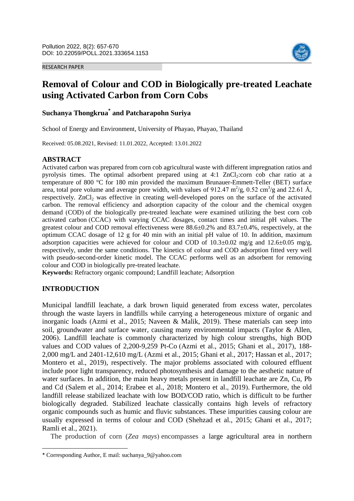#### RESEARCH PAPER



# **Removal of Colour and COD in Biologically pre-treated Leachate using Activated Carbon from Corn Cobs**

# **Suchanya Thongkrua\* and Patcharapohn Suriya**

School of Energy and Environment, University of Phayao, Phayao, Thailand

Received: 05.08.2021, Revised: 11.01.2022, Accepted: 13.01.2022

#### **ABSTRACT**

Activated carbon was prepared from corn cob agricultural waste with different impregnation ratios and pyrolysis times. The optimal adsorbent prepared using at  $4:1$  ZnCl<sub>2</sub>:corn cob char ratio at a temperature of 800 °C for 180 min provided the maximum Brunauer-Emmett-Teller (BET) surface area, total pore volume and average pore width, with values of 912.47  $m^2/g$ , 0.52 cm<sup>3</sup>/g and 22.61 Å, respectively. ZnCl<sub>2</sub> was effective in creating well-developed pores on the surface of the activated carbon. The removal efficiency and adsorption capacity of the colour and the chemical oxygen demand (COD) of the biologically pre-treated leachate were examined utilizing the best corn cob activated carbon (CCAC) with varying CCAC dosages, contact times and initial pH values. The greatest colour and COD removal effectiveness were  $88.6\pm0.2\%$  and  $83.7\pm0.4\%$ , respectively, at the optimum CCAC dosage of 12 g for 40 min with an initial pH value of 10. In addition, maximum adsorption capacities were achieved for colour and COD of  $10.3\pm0.02$  mg/g and  $12.6\pm0.05$  mg/g, respectively, under the same conditions. The kinetics of colour and COD adsorption fitted very well with pseudo-second-order kinetic model. The CCAC performs well as an adsorbent for removing colour and COD in biologically pre-treated leachate.

**Keywords:** Refractory organic compound; Landfill leachate; Adsorption

## **INTRODUCTION**

 $\overline{\phantom{a}}$ 

Municipal landfill leachate, a dark brown liquid generated from excess water, percolates through the waste layers in landfills while carrying a heterogeneous mixture of organic and inorganic loads (Azmi et al., 2015; Naveen & Malik, 2019). These materials can seep into soil, groundwater and surface water, causing many environmental impacts (Taylor & Allen, 2006). Landfill leachate is commonly characterized by high colour strengths, high BOD values and COD values of 2,200-9,259 Pt-Co (Azmi et al., 2015; Ghani et al., 2017), 188- 2,000 mg/L and 2401-12,610 mg/L (Azmi et al., 2015; Ghani et al., 2017; Hassan et al., 2017; Montero et al., 2019), respectively. The major problems associated with coloured effluent include poor light transparency, reduced photosynthesis and damage to the aesthetic nature of water surfaces. In addition, the main heavy metals present in landfill leachate are Zn, Cu, Pb and Cd (Salem et al., 2014; Erabee et al., 2018; Montero et al., 2019). Furthermore, the old landfill release stabilized leachate with low BOD/COD ratio, which is difficult to be further biologically degraded. Stabilized leachate classically contains high levels of refractory organic compounds such as humic and fluvic substances. These impurities causing colour are usually expressed in terms of colour and COD (Shehzad et al., 2015; Ghani et al., 2017; Ramli et al., 2021).

The production of corn (*Zea mays*) encompasses a large agricultural area in northern

<sup>\*</sup> Corresponding Author, E mail: suchanya\_9@yahoo.com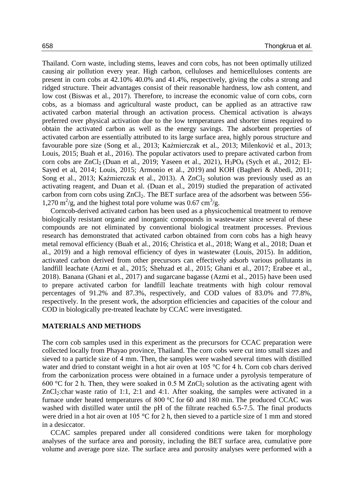Thailand. Corn waste, including stems, leaves and corn cobs, has not been optimally utilized causing air pollution every year. High carbon, celluloses and hemicelluloses contents are present in corn cobs at 42.10% 40.0% and 41.4%, respectively, giving the cobs a strong and ridged structure. Their advantages consist of their reasonable hardness, low ash content, and low cost (Biswas et al., 2017). Therefore, to increase the economic value of corn cobs, corn cobs, as a biomass and agricultural waste product, can be applied as an attractive raw activated carbon material through an activation process. Chemical activation is always preferred over physical activation due to the low temperatures and shorter times required to obtain the activated carbon as well as the energy savings. The adsorbent properties of activated carbon are essentially attributed to its large surface area, highly porous structure and favourable pore size (Song et al., 2013; Kaźmierczak et al., 2013; Milenković et al., 2013; Louis, 2015; Buah et al., 2016). The popular activators used to prepare activated carbon from corn cobs are  $ZnCl_2$  (Duan et al., 2019; Yaseen et al., 2021),  $H_3PO_4$  (Sych et al., 2012; El-Sayed et al, 2014; Louis, 2015; Armonio et al., 2019) and KOH (Bagheri & Abedi, 2011; Song et al., 2013; Kaźmierczak et al., 2013). A  $ZnCl<sub>2</sub>$  solution was previously used as an activating reagent, and Duan et al. (Duan et al., 2019) studied the preparation of activated carbon from corn cobs using  $ZnCl<sub>2</sub>$ . The BET surface area of the adsorbent was between 556-1,270 m<sup>2</sup>/g, and the highest total pore volume was 0.67 cm<sup>3</sup>/g.

Corncob-derived activated carbon has been used as a physicochemical treatment to remove biologically resistant organic and inorganic compounds in wastewater since several of these compounds are not eliminated by conventional biological treatment processes. Previous research has demonstrated that activated carbon obtained from corn cobs has a high heavy metal removal efficiency (Buah et al., 2016; Christica et al., 2018; Wang et al., 2018; Duan et al., 2019) and a high removal efficiency of dyes in wastewater (Louis, 2015). In addition, activated carbon derived from other precursors can effectively adsorb various pollutants in landfill leachate (Azmi et al., 2015; Shehzad et al., 2015; Ghani et al., 2017; Erabee et al., 2018). Banana (Ghani et al., 2017) and sugarcane bagasse (Azmi et al., 2015) have been used to prepare activated carbon for landfill leachate treatments with high colour removal percentages of 91.2% and 87.3%, respectively, and COD values of 83.0% and 77.8%, respectively. In the present work, the adsorption efficiencies and capacities of the colour and COD in biologically pre-treated leachate by CCAC were investigated.

#### **MATERIALS AND METHODS**

The corn cob samples used in this experiment as the precursors for CCAC preparation were collected locally from Phayao province, Thailand. The corn cobs were cut into small sizes and sieved to a particle size of 4 mm. Then, the samples were washed several times with distilled water and dried to constant weight in a hot air oven at 105 °C for 4 h. Corn cob chars derived from the carbonization process were obtained in a furnace under a pyrolysis temperature of 600 °C for 2 h. Then, they were soaked in 0.5 M ZnCl<sub>2</sub> solution as the activating agent with  $ZnCl<sub>2</sub>:char$  waste ratio of 1:1, 2:1 and 4:1. After soaking, the samples were activated in a furnace under heated temperatures of 800 °C for 60 and 180 min. The produced CCAC was washed with distilled water until the pH of the filtrate reached 6.5-7.5. The final products were dried in a hot air oven at 105 °C for 2 h, then sieved to a particle size of 1 mm and stored in a desiccator.

CCAC samples prepared under all considered conditions were taken for morphology analyses of the surface area and porosity, including the BET surface area, cumulative pore volume and average pore size. The surface area and porosity analyses were performed with a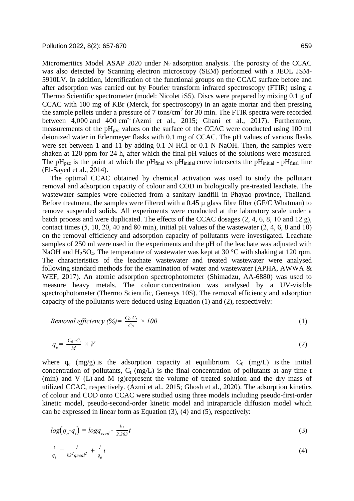Micromeritics Model ASAP 2020 under  $N_2$  adsorption analysis. The porosity of the CCAC was also detected by Scanning electron microscopy (SEM) performed with a JEOL JSM-5910LV. In addition, identification of the functional groups on the CCAC surface before and after adsorption was carried out by Fourier transform infrared spectroscopy (FTIR) using a Thermo Scientific spectrometer (model: Nicolet iS5). Discs were prepared by mixing 0.1 g of CCAC with 100 mg of KBr (Merck, for spectroscopy) in an agate mortar and then pressing the sample pellets under a pressure of 7 tons/cm<sup>2</sup> for 30 min. The FTIR spectra were recorded between  $4,000$  and  $400 \text{ cm}^{-1}$  (Azmi et al., 2015; Ghani et al., 2017). Furthermore, measurements of the  $pH_{pzc}$  values on the surface of the CCAC were conducted using 100 ml deionized water in Erlenmeyer flasks with 0.1 mg of CCAC. The pH values of various flasks were set between 1 and 11 by adding 0.1 N HCl or 0.1 N NaOH. Then, the samples were shaken at 120 ppm for 24 h, after which the final pH values of the solutions were measured. The pH<sub>pzc</sub> is the point at which the pH<sub>final</sub> vs pH<sub>initial</sub> curve intersects the pH<sub>initial</sub> - pH<sub>final</sub> line (El-Sayed et al., 2014).

The optimal CCAC obtained by chemical activation was used to study the pollutant removal and adsorption capacity of colour and COD in biologically pre-treated leachate. The wastewater samples were collected from a sanitary landfill in Phayao province, Thailand. Before treatment, the samples were filtered with a  $0.45 \mu$  glass fibre filter (GF/C Whatman) to remove suspended solids. All experiments were conducted at the laboratory scale under a batch process and were duplicated. The effects of the CCAC dosages (2, 4, 6, 8, 10 and 12 g), contact times  $(5, 10, 20, 40, 40, 80, 60, 60)$  initial pH values of the wastewater  $(2, 4, 6, 8, 60, 10)$ on the removal efficiency and adsorption capacity of pollutants were investigated. Leachate samples of 250 ml were used in the experiments and the pH of the leachate was adjusted with NaOH and H<sub>2</sub>SO<sub>4</sub>. The temperature of wastewater was kept at 30 °C with shaking at 120 rpm. The characteristics of the leachate wastewater and treated wastewater were analysed following standard methods for the examination of water and wastewater (APHA, AWWA & WEF, 2017). An atomic adsorption spectrophotometer (Shimadzu, AA-6880) was used to measure heavy metals. The colour concentration was analysed by a UV-visible spectrophotometer (Thermo Scientific, Genesys 10S). The removal efficiency and adsorption capacity of the pollutants were deduced using Equation (1) and (2), respectively:

*Removal efficiency* 
$$
(\%) = \frac{C_0 - C_t}{C_0} \times 100
$$
 (1)

$$
q_e = \frac{C_0 \cdot C_t}{M} \times V \tag{2}
$$

where  $q_e$  (mg/g) is the adsorption capacity at equilibrium.  $C_0$  (mg/L) is the initial concentration of pollutants,  $C_t$  (mg/L) is the final concentration of pollutants at any time t (min) and V (L) and M (g)represent the volume of treated solution and the dry mass of utilized CCAC, respectively. (Azmi et al., 2015; Ghosh et al., 2020). The adsorption kinetics of colour and COD onto CCAC were studied using three models including pseudo-first-order kinetic model, pseudo-second-order kinetic model and intraparticle diffusion model which can be expressed in linear form as Equation (3), (4) and (5), respectively:

$$
log(q_e - q_t) = logq_{ecal} - \frac{k_l}{2.303}t
$$
\n
$$
(3)
$$

$$
\frac{t}{q_t} = \frac{1}{k^2 q e c a l^2} + \frac{1}{q_e} t \tag{4}
$$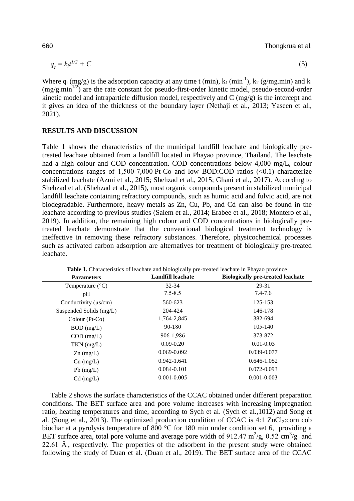$$
q_t = k_i t^{1/2} + C \tag{5}
$$

Where  $q_t (mg/g)$  is the adsorption capacity at any time t (min),  $k_1 (min^{-1})$ ,  $k_2 (g/mg.min)$  and  $k_i$  $(mg/g.min<sup>1/2</sup>)$  are the rate constant for pseudo-first-order kinetic model, pseudo-second-order kinetic model and intraparticle diffusion model, respectively and C (mg/g) is the intercept and it gives an idea of the thickness of the boundary layer (Nethaji et al., 2013; Yaseen et al., 2021).

#### **RESULTS AND DISCUSSION**

Table 1 shows the characteristics of the municipal landfill leachate and biologically pretreated leachate obtained from a landfill located in Phayao province, Thailand. The leachate had a high colour and COD concentration. COD concentrations below 4,000 mg/L, colour concentrations ranges of 1,500-7,000 Pt-Co and low BOD:COD ratios  $(\leq 0.1)$  characterize stabilized leachate (Azmi et al., 2015; Shehzad et al., 2015; Ghani et al., 2017). According to Shehzad et al. (Shehzad et al., 2015), most organic compounds present in stabilized municipal landfill leachate containing refractory compounds, such as humic acid and fulvic acid, are not biodegradable. Furthermore, heavy metals as Zn, Cu, Pb, and Cd can also be found in the leachate according to previous studies (Salem et al., 2014; Erabee et al., 2018; Montero et al., 2019). In addition, the remaining high colour and COD concentrations in biologically pretreated leachate demonstrate that the conventional biological treatment technology is ineffective in removing these refractory substances. Therefore, physicochemical processes such as activated carbon adsorption are alternatives for treatment of biologically pre-treated leachate.

| <b>Parameters</b>         | <b>Landfill leachate</b> | <b>Biologically pre-treated leachate</b> |  |  |
|---------------------------|--------------------------|------------------------------------------|--|--|
| Temperature $(^{\circ}C)$ | $32 - 34$                | 29-31                                    |  |  |
| pH                        | $7.5 - 8.5$              | $7.4 - 7.6$                              |  |  |
| Conductivity $(\mu s/cm)$ | 560-623                  | 125-153                                  |  |  |
| Suspended Solids (mg/L)   | 204-424                  | 146-178                                  |  |  |
| Colour (Pt-Co)            | 1,764-2,845              | 382-694                                  |  |  |
| $BOD$ (mg/L)              | 90-180                   | 105-140                                  |  |  |
| $COD$ (mg/L)              | 906-1,986                | 373-872                                  |  |  |
| $TKN$ (mg/L)              | $0.09 - 0.20$            | $0.01 - 0.03$                            |  |  |
| $Zn$ (mg/L)               | $0.069 - 0.092$          | 0.039-0.077                              |  |  |
| $Cu$ (mg/L)               | 0.942-1.641              | $0.646 - 1.052$                          |  |  |
| $Pb$ (mg/L)               | 0.084-0.101              | 0.072-0.093                              |  |  |
| $Cd$ (mg/L)               | $0.001 - 0.005$          | $0.001 - 0.003$                          |  |  |

**Table 1.** Characteristics of leachate and biologically pre-treated leachate in Phayao province

Table 2 shows the surface characteristics of the CCAC obtained under different preparation conditions. The BET surface area and pore volume increases with increasing impregnation ratio, heating temperatures and time, according to Sych et al. (Sych et al.,1012) and Song et al. (Song et al., 2013). The optimized production condition of CCAC is 4:1  $ZnCl<sub>2</sub>:corr$  cob biochar at a pyrolysis temperature of 800 °C for 180 min under condition set 6, providing a BET surface area, total pore volume and average pore width of 912.47  $\text{m}^2/\text{g}$ , 0.52  $\text{cm}^3/\text{g}$  and 22.61 Å , respectively. The properties of the adsorbent in the present study were obtained following the study of Duan et al. (Duan et al., 2019). The BET surface area of the CCAC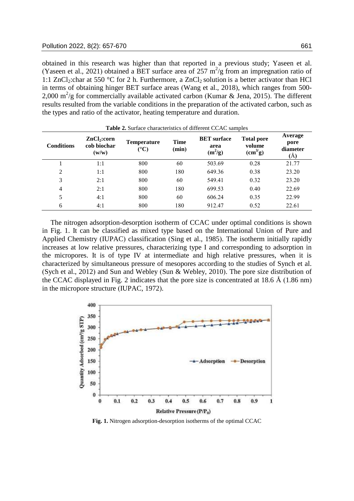obtained in this research was higher than that reported in a previous study; Yaseen et al. (Yaseen et al., 2021) obtained a BET surface area of 257  $m^2/g$  from an impregnation ratio of 1:1 ZnCl<sub>2</sub>:char at 550 °C for 2 h. Furthermore, a ZnCl<sub>2</sub> solution is a better activator than HCl in terms of obtaining hinger BET surface areas (Wang et al., 2018), which ranges from 500- 2,000 m<sup>2</sup>/g for commercially available activated carbon (Kumar & Jena, 2015). The different results resulted from the variable conditions in the preparation of the activated carbon, such as the types and ratio of the activator, heating temperature and duration.

| <b>Table 2.</b> Surface characteristics of different CCAC samples |                                                 |                                    |               |                                         |                                                    |                                    |
|-------------------------------------------------------------------|-------------------------------------------------|------------------------------------|---------------|-----------------------------------------|----------------------------------------------------|------------------------------------|
| <b>Conditions</b>                                                 | ZnCl <sub>2</sub> :corr<br>cob biochar<br>(w/w) | <b>Temperature</b><br>$(^\circ C)$ | Time<br>(min) | <b>BET</b> surface<br>area<br>$(m^2/g)$ | <b>Total pore</b><br>volume<br>(cm <sup>3</sup> g) | Average<br>pore<br>diameter<br>(Å) |
|                                                                   | 1:1                                             | 800                                | 60            | 503.69                                  | 0.28                                               | 21.77                              |
| 2                                                                 | 1:1                                             | 800                                | 180           | 649.36                                  | 0.38                                               | 23.20                              |
| 3                                                                 | 2:1                                             | 800                                | 60            | 549.41                                  | 0.32                                               | 23.20                              |
| 4                                                                 | 2:1                                             | 800                                | 180           | 699.53                                  | 0.40                                               | 22.69                              |
| 5                                                                 | 4:1                                             | 800                                | 60            | 606.24                                  | 0.35                                               | 22.99                              |
| 6                                                                 | 4:1                                             | 800                                | 180           | 912.47                                  | 0.52                                               | 22.61                              |

The nitrogen adsorption-desorption isotherm of CCAC under optimal conditions is shown in Fig. 1. It can be classified as mixed type based on the International Union of Pure and Applied Chemistry (IUPAC) classification (Sing et al., 1985). The isotherm initially rapidly increases at low relative pressures, characterizing type I and corresponding to adsorption in the micropores. It is of type IV at intermediate and high relative pressures, when it is characterized by simultaneous pressure of mesopores according to the studies of Synch et al. (Sych et al., 2012) and Sun and Webley (Sun & Webley, 2010). The pore size distribution of the CCAC displayed in Fig. 2 indicates that the pore size is concentrated at 18.6 Å (1.86 nm) in the micropore structure (IUPAC, 1972).



**Fig. 1.** Nitrogen adsorption-desorption isotherms of the optimal CCAC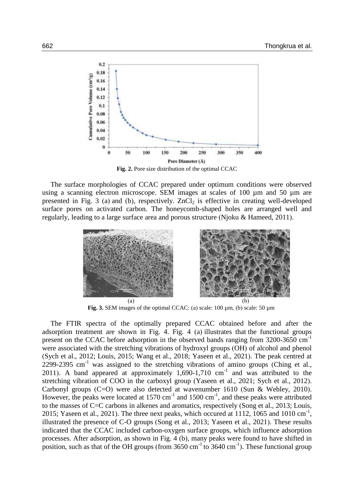

**Fig. 2.** Pore size distribution of the optimal CCAC

The surface morphologies of CCAC prepared under optimum conditions were observed using a scanning electron microscope. SEM images at scales of 100 µm and 50 µm are presented in Fig. 3 (a) and (b), respectively.  $ZnCl<sub>2</sub>$  is effective in creating well-developed surface pores on activated carbon. The honeycomb-shaped holes are arranged well and regularly, leading to a large surface area and porous structure (Njoku & Hameed, 2011).



**Fig. 3.** SEM images of the optimal CCAC: (a) scale: 100 µm, (b) scale: 50 µm

The FTIR spectra of the optimally prepared CCAC obtained before and after the adsorption treatment are shown in Fig. 4. Fig. 4 (a) illustrates that the functional groups present on the CCAC before adsorption in the observed bands ranging from 3200-3650 cm-1 were associated with the stretching vibrations of hydroxyl groups (OH) of alcohol and phenol (Sych et al., 2012; Louis, 2015; Wang et al., 2018; Yaseen et al., 2021). The peak centred at 2299-2395 cm<sup>-1</sup> was assigned to the stretching vibrations of amino groups (Ching et al., 2011). A band appeared at approximately  $1,690-1,710$  cm<sup>-1</sup> and was attributed to the stretching vibration of COO in the carboxyl group (Yaseen et al., 2021; Sych et al., 2012). Carbonyl groups (C=O) were also detected at wavenumber 1610 (Sun & Webley, 2010). However, the peaks were located at 1570 cm<sup>-1</sup> and 1500 cm<sup>-1</sup>, and these peaks were attributed to the masses of C=C carbons in alkenes and aromatics, respectively (Song et al., 2013; Louis, 2015; Yaseen et al., 2021). The three next peaks, which occured at 1112, 1065 and 1010 cm<sup>-1</sup>, illustrated the presence of C-O groups (Song et al., 2013; Yaseen et al., 2021). These results indicated that the CCAC included carbon-oxygen surface groups, which influence adsorption processes. After adsorption, as shown in Fig. 4 (b), many peaks were found to have shifted in position, such as that of the OH groups (from  $3650 \text{ cm}^{-1}$  to  $3640 \text{ cm}^{-1}$ ). These functional group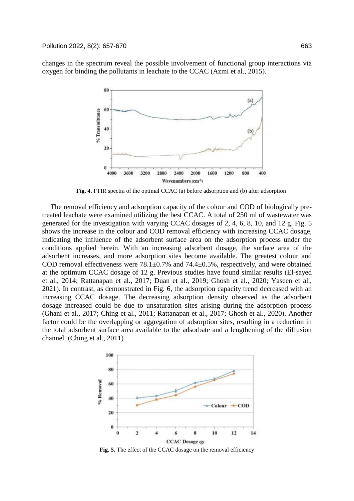changes in the spectrum reveal the possible involvement of functional group interactions via oxygen for binding the pollutants in leachate to the CCAC (Azmi et al., 2015).



**Fig. 4.** FTIR spectra of the optimal CCAC (a) before adsorption and (b) after adsorption

The removal efficiency and adsorption capacity of the colour and COD of biologically pretreated leachate were examined utilizing the best CCAC. A total of 250 ml of wastewater was generated for the investigation with varying CCAC dosages of 2, 4, 6, 8, 10, and 12 g. Fig. 5 shows the increase in the colour and COD removal efficiency with increasing CCAC dosage, indicating the influence of the adsorbent surface area on the adsorption process under the conditions applied herein. With an increasing adsorbent dosage, the surface area of the adsorbent increases, and more adsorption sites become available. The greatest colour and COD removal effectiveness were  $78.1 \pm 0.7\%$  and  $74.4 \pm 0.5\%$ , respectively, and were obtained at the optimum CCAC dosage of 12 g. Previous studies have found similar results (El-sayed et al., 2014; Rattanapan et al., 2017; Duan et al., 2019; Ghosh et al., 2020; Yaseen et al., 2021). In contrast, as demonstrated in Fig. 6, the adsorption capacity trend decreased with an increasing CCAC dosage. The decreasing adsorption density observed as the adsorbent dosage increased could be due to unsaturation sites arising during the adsorption process (Ghani et al., 2017; Ching et al., 2011; Rattanapan et al., 2017; Ghosh et al., 2020). Another factor could be the overlapping or aggregation of adsorption sites, resulting in a reduction in the total adsorbent surface area available to the adsorbate and a lengthening of the diffusion channel. (Ching et al., 2011)



**Fig. 5.** The effect of the CCAC dosage on the removal efficiency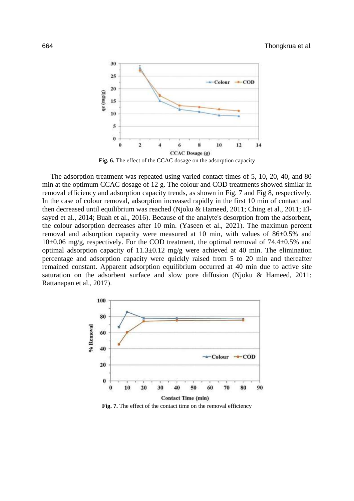

The adsorption treatment was repeated using varied contact times of 5, 10, 20, 40, and 80 min at the optimum CCAC dosage of 12 g. The colour and COD treatments showed similar in removal efficiency and adsorption capacity trends, as shown in Fig. 7 and Fig 8, respectively. In the case of colour removal, adsorption increased rapidly in the first 10 min of contact and then decreased until equilibrium was reached (Njoku & Hameed, 2011; Ching et al., 2011; Elsayed et al., 2014; Buah et al., 2016). Because of the analyte's desorption from the adsorbent, the colour adsorption decreases after 10 min. (Yaseen et al., 2021). The maximun percent removal and adsorption capacity were measured at 10 min, with values of 86±0.5% and  $10\pm0.06$  mg/g, respectively. For the COD treatment, the optimal removal of 74.4 $\pm$ 0.5% and optimal adsorption capacity of  $11.3\pm0.12$  mg/g were achieved at 40 min. The elimination percentage and adsorption capacity were quickly raised from 5 to 20 min and thereafter remained constant. Apparent adsorption equilibrium occurred at 40 min due to active site saturation on the adsorbent surface and slow pore diffusion (Njoku & Hameed, 2011; Rattanapan et al., 2017).



**Fig. 7.** The effect of the contact time on the removal efficiency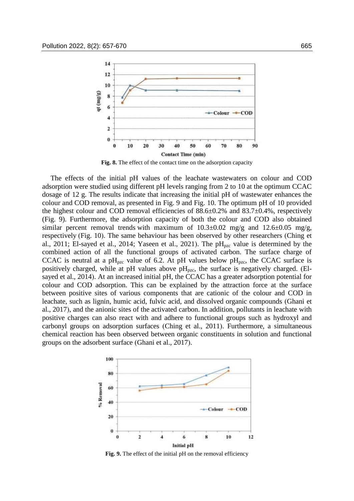

**Fig. 8.** The effect of the contact time on the adsorption capacity

The effects of the initial pH values of the leachate wastewaters on colour and COD adsorption were studied using different pH levels ranging from 2 to 10 at the optimum CCAC dosage of 12 g. The results indicate that increasing the initial pH of wastewater enhances the colour and COD removal, as presented in Fig. 9 and Fig. 10. The optimum pH of 10 provided the highest colour and COD removal efficiencies of  $88.6\pm0.2\%$  and  $83.7\pm0.4\%$ , respectively (Fig. 9). Furthermore, the adsorption capacity of both the colour and COD also obtained similar percent removal trends with maximum of  $10.3\pm0.02$  mg/g and  $12.6\pm0.05$  mg/g, respectively (Fig. 10). The same behaviour has been observed by other researchers (Ching et al., 2011; El-sayed et al., 2014; Yaseen et al., 2021). The  $pH<sub>pzc</sub>$  value is determined by the combined action of all the functional groups of activated carbon. The surface charge of CCAC is neutral at a pH<sub>pzc</sub> value of 6.2. At pH values below pH<sub>pzc</sub>, the CCAC surface is positively charged, while at pH values above  $pH_{pzc}$ , the surface is negatively charged. (Elsayed et al., 2014). At an increased initial pH, the CCAC has a greater adsorption potential for colour and COD adsorption. This can be explained by the attraction force at the surface between positive sites of various components that are cationic of the colour and COD in leachate, such as lignin, humic acid, fulvic acid, and dissolved organic compounds (Ghani et al., 2017), and the anionic sites of the activated carbon. In addition, pollutants in leachate with positive charges can also react with and adhere to functional groups such as hydroxyl and carbonyl groups on adsorption surfaces (Ching et al., 2011). Furthermore, a simultaneous chemical reaction has been observed between organic constituents in solution and functional groups on the adsorbent surface (Ghani et al., 2017).



**Fig. 9.** The effect of the initial pH on the removal efficiency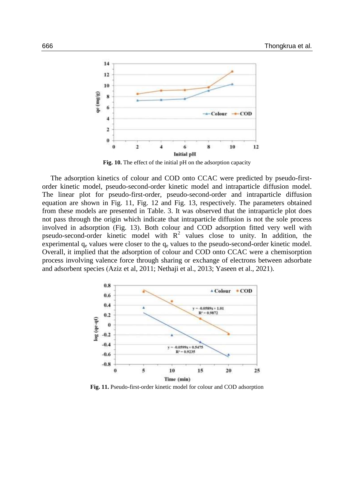

**Fig. 10.** The effect of the initial pH on the adsorption capacity

The adsorption kinetics of colour and COD onto CCAC were predicted by pseudo-firstorder kinetic model, pseudo-second-order kinetic model and intraparticle diffusion model. The linear plot for pseudo-first-order, pseudo-second-order and intraparticle diffusion equation are shown in Fig. 11, Fig. 12 and Fig. 13, respectively. The parameters obtained from these models are presented in Table. 3. It was observed that the intraparticle plot does not pass through the origin which indicate that intraparticle diffusion is not the sole process involved in adsorption (Fig. 13). Both colour and COD adsorption fitted very well with pseudo-second-order kinetic model with  $R^2$  values close to unity. In addition, the experimental  $q_e$  values were closer to the  $q_e$  values to the pseudo-second-order kinetic model. Overall, it implied that the adsorption of colour and COD onto CCAC were a chemisorption process involving valence force through sharing or exchange of electrons between adsorbate and adsorbent species (Aziz et al, 2011; Nethaji et al., 2013; Yaseen et al., 2021).



**Fig. 11.** Pseudo-first-order kinetic model for colour and COD adsorption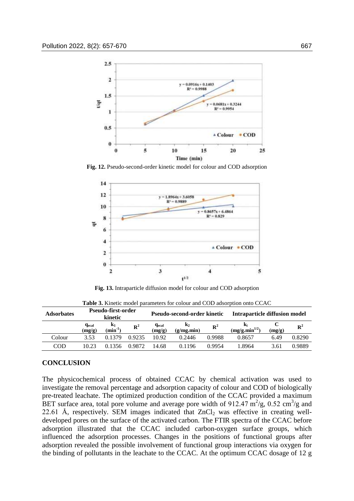

**Fig. 12.** Pseudo-second-order kinetic model for colour and COD adsorption



**Fig. 13.** Intraparticle diffusion model for colour and COD adsorption

| <b>Adsorbates</b> | Pseudo-first-order<br>kinetic      |                                |                | Pseudo-second-order kinetic        |                              | Intraparticle diffusion model |                                  |        |                |
|-------------------|------------------------------------|--------------------------------|----------------|------------------------------------|------------------------------|-------------------------------|----------------------------------|--------|----------------|
|                   | <b>q</b> <sub>ecal</sub><br>(mg/g) | $\mathbf{k}_1$<br>$(min^{-1})$ | $\mathbb{R}^2$ | <b>G</b> <sub>ecal</sub><br>(mg/g) | $\mathbf{k}_2$<br>(g/mg.min) | $\mathbb{R}^2$                | K,<br>(mg/g.min <sup>1/2</sup> ) | (mg/g) | $\mathbb{R}^2$ |
| Colour            | 3.53                               | በ 1379                         | 0.9235         | 10.92                              | 0.2446                       | 0.9988                        | 0.8657                           | 6.49   | 0.8290         |
| COD               | 10.23                              | በ 1356                         | 0.9872         | 14.68                              | 0.1196                       | 0.9954                        | .8964                            | 3.61   | 0.9889         |

**Table 3.** Kinetic model parameters for colour and COD adsorption onto CCAC

## **CONCLUSION**

The physicochemical process of obtained CCAC by chemical activation was used to investigate the removal percentage and adsorption capacity of colour and COD of biologically pre-treated leachate. The optimized production condition of the CCAC provided a maximum BET surface area, total pore volume and average pore width of 912.47  $\text{m}^2/\text{g}$ , 0.52 cm<sup>3</sup>/g and 22.61 Å, respectively. SEM images indicated that  $ZnCl<sub>2</sub>$  was effective in creating welldeveloped pores on the surface of the activated carbon. The FTIR spectra of the CCAC before adsorption illustrated that the CCAC included carbon-oxygen surface groups, which influenced the adsorption processes. Changes in the positions of functional groups after adsorption revealed the possible involvement of functional group interactions via oxygen for the binding of pollutants in the leachate to the CCAC. At the optimum CCAC dosage of 12 g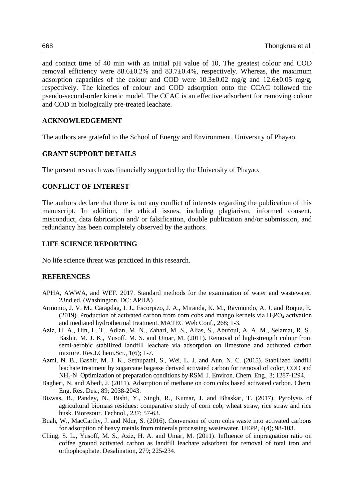and contact time of 40 min with an initial pH value of 10, The greatest colour and COD removal efficiency were 88.6±0.2% and 83.7±0.4%, respectively. Whereas, the maximum adsorption capacities of the colour and COD were  $10.3\pm0.02$  mg/g and  $12.6\pm0.05$  mg/g, respectively. The kinetics of colour and COD adsorption onto the CCAC followed the pseudo-second-order kinetic model. The CCAC is an effective adsorbent for removing colour and COD in biologically pre-treated leachate.

## **ACKNOWLEDGEMENT**

The authors are grateful to the School of Energy and Environment, University of Phayao.

## **GRANT SUPPORT DETAILS**

The present research was financially supported by the University of Phayao.

#### **CONFLICT OF INTEREST**

The authors declare that there is not any conflict of interests regarding the publication of this manuscript. In addition, the ethical issues, including plagiarism, informed consent, misconduct, data fabrication and/ or falsification, double publication and/or submission, and redundancy has been completely observed by the authors.

## **LIFE SCIENCE REPORTING**

No life science threat was practiced in this research.

#### **REFERENCES**

- APHA, AWWA, and WEF. 2017. Standard methods for the examination of water and wastewater. 23nd ed. (Washington, DC: APHA)
- Armonio, J. V. M., Caragdag, I. J., Escorpizo, J. A., Miranda, K. M., Raymundo, A. J. and Roque, E. (2019). Production of activated carbon from corn cobs and mango kernels via  $H_3PO_4$  activation and mediated hydrothermal treatment. MATEC Web Conf., 268; 1-3.
- Aziz, H. A., Hin, L. T., Adlan, M. N., Zahari, M. S., Alias, S., Abufoul, A. A. M., Selamat, R. S., Bashir, M. J. K., Yusoff, M. S. and Umar, M. (2011). Removal of high-strength colour from semi-aerobic stabilized landfill leachate via adsorption on limestone and activated carbon mixture. Res.J.Chem.Sci., 1(6); 1-7.
- Azmi, N. B., Bashir, M. J. K., Sethupathi, S., Wei, L. J. and Aun, N. C. (2015). Stabilized landfill leachate treatment by sugarcane bagasse derived activated carbon for removal of color, COD and NH3-N–Optimization of preparation conditions by RSM. J. Environ. Chem. Eng., 3; 1287-1294.
- Bagheri, N. and Abedi, J. (2011). Adsorption of methane on corn cobs based activated carbon. Chem. Eng. Res. Des., 89; 2038-2043.
- Biswas, B., Pandey, N., Bisht, Y., Singh, R., Kumar, J. and Bhaskar, T. (2017). Pyrolysis of agricultural biomass residues: comparative study of corn cob, wheat straw, rice straw and rice husk. Bioresour. Technol., 237; 57-63.
- Buah, W., MacCarthy, J. and Ndur, S. (2016). Conversion of corn cobs waste into activated carbons for adsorption of heavy metals from minerals processing wastewater. IJEPP, 4(4); 98-103.
- Ching, S. L., Yusoff, M. S., Aziz, H. A. and Umar, M. (2011). Influence of impregnation ratio on coffee ground activated carbon as landfill leachate adsorbent for removal of total iron and orthophosphate. Desalination, 279; 225-234.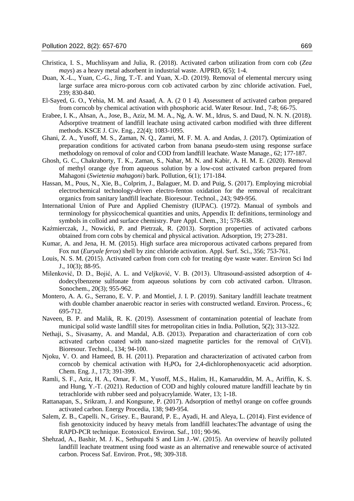- Christica, I. S., Muchlisyam and Julia, R. (2018). Activated carbon utilization from corn cob (*Zea mays*) as a heavy metal adsorbent in industrial waste. AJPRD, 6(5); 1-4.
- Duan, X.-L., Yuan, C.-G., Jing, T.-T. and Yuan, X.-D. (2019). Removal of elemental mercury using large surface area micro-porous corn cob activated carbon by zinc chloride activation. Fuel, 239; 830-840.
- El-Sayed, G. O., Yehia, M. M. and Asaad, A. A. (2 0 1 4). Assessment of activated carbon prepared from corncob by chemical activation with phosphoric acid. Water Resour. Ind., 7-8; 66-75.
- Erabee, I. K., Ahsan, A., Jose, B., Aziz, M. M. A., Ng, A. W. M., Idrus, S. and Daud, N. N. N. (2018). Adsorptive treatment of landfill leachate using activated carbon modified with three different methods. KSCE J. Civ. Eng., 22(4); 1083-1095.
- Ghani, Z. A., Yusoff, M. S., Zaman, N. Q., Zamri, M. F. M. A. and Andas, J. (2017). Optimization of preparation conditions for activated carbon from banana pseudo-stem using response surface methodology on removal of color and COD from landfill leachate. Waste Manage., 62; 177-187.
- Ghosh, G. C., Chakraborty, T. K., Zaman, S., Nahar, M. N. and Kabir, A. H. M. E. (2020). Removal of methyl orange dye from aqueous solution by a low-cost activated carbon prepared from Mahagoni (*Swietenia mahagoni*) bark. Pollution, 6(1); 171-184.
- Hassan, M., Pous, N., Xie, B., Colprim, J., Balaguer, M. D. and Puig, S. (2017). Employing microbial electrochemical technology-driven electro-fenton oxidation for the removal of recalcitrant organics from sanitary landfill leachate. Bioresour. Technol., 243; 949-956.
- International Union of Pure and Applied Chemistry (IUPAC). (1972). Manual of symbols and terminology for physicochemical quantities and units, Appendix II: definitions, terminology and symbols in colloid and surface chemistry. Pure Appl. Chem., 31; 578-638.
- Kaźmierczak, J., Nowicki, P. and Pietrzak, R. (2013). Sorption properties of activated carbons obtained from corn cobs by chemical and physical activation. Adsorption, 19; 273-281.
- Kumar, A. and Jena, H. M. (2015). High surface area microporous activated carbons prepared from Fox nut (*Euryale ferox*) shell by zinc chloride activation. Appl. Surf. Sci., 356; 753-761.
- Louis, N. S. M. (2015). Activated carbon from corn cob for treating dye waste water. Environ Sci Ind J., 10(3); 88-95.
- Milenković, D. D., Bojić, A. L. and Veljković, V. B. (2013). Ultrasound-assisted adsorption of 4 dodecylbenzene sulfonate from aqueous solutions by corn cob activated carbon. Ultrason. Sonochem., 20(3); 955-962.
- Montero, A. A. G., Serrano, E. V. P. and Montiel, J. I. P. (2019). Sanitary landfill leachate treatment with double chamber anaerobic reactor in series with constructed wetland. Environ. Process., 6; 695-712.
- Naveen, B. P. and Malik, R. K. (2019). Assessment of contamination potential of leachate from municipal solid waste landfill sites for metropolitan cities in India. Pollution, 5(2); 313-322.
- Nethaji, S., Sivasamy, A. and Mandal, A.B. (2013). Preparation and characterization of corn cob activated carbon coated with nano-sized magnetite particles for the removal of Cr(VI). Bioresour. Technol., 134; 94-100.
- Njoku, V. O. and Hameed, B. H. (2011). Preparation and characterization of activated carbon from corncob by chemical activation with  $H_3PO_4$  for 2,4-dichlorophenoxyacetic acid adsorption. Chem. Eng. J., 173; 391-399.
- Ramli, S. F., Aziz, H. A., Omar, F. M., Yusoff, M.S., Halim, H., Kamaruddin, M. A., Ariffin, K. S. and Hung, Y.-T. (2021). Reduction of COD and highly coloured mature landfill leachate by tin tetrachloride with rubber seed and polyacrylamide. Water, 13; 1-18.
- Rattanapan, S., Srikram, J. and Kongsune, P. (2017). Adsorption of methyl orange on coffee grounds activated carbon. Energy Procedia, 138; 949-954.
- Salem, Z. B., Capelli. N., Grisey. E., Baurand, P. E., Ayadi, H. and Aleya, L. (2014). First evidence of fish genotoxicity induced by heavy metals from landfill leachates:The advantage of using the RAPD-PCR technique. Ecotoxicol. Environ. Saf., 101; 90-96.
- Shehzad, A., Bashir, M. J. K., Sethupathi S and Lim J.-W. (2015). An overview of heavily polluted landfill leachate treatment using food waste as an alternative and renewable source of activated carbon. Process Saf. Environ. Prot., 98; 309-318.